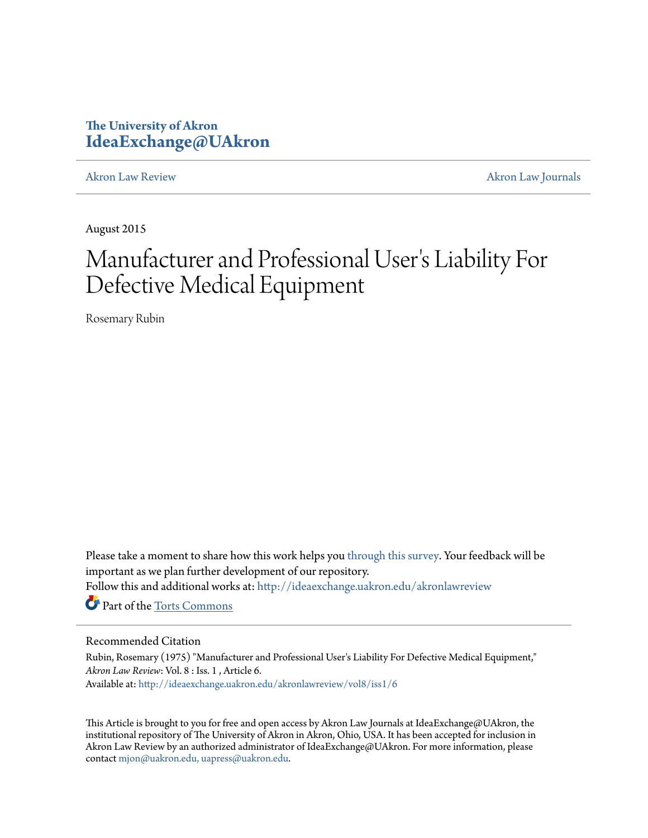# **The University of Akron [IdeaExchange@UAkron](http://ideaexchange.uakron.edu?utm_source=ideaexchange.uakron.edu%2Fakronlawreview%2Fvol8%2Fiss1%2F6&utm_medium=PDF&utm_campaign=PDFCoverPages)**

[Akron Law Review](http://ideaexchange.uakron.edu/akronlawreview?utm_source=ideaexchange.uakron.edu%2Fakronlawreview%2Fvol8%2Fiss1%2F6&utm_medium=PDF&utm_campaign=PDFCoverPages) [Akron Law Journals](http://ideaexchange.uakron.edu/akronlawjournals?utm_source=ideaexchange.uakron.edu%2Fakronlawreview%2Fvol8%2Fiss1%2F6&utm_medium=PDF&utm_campaign=PDFCoverPages)

August 2015

# Manufacturer and Professional User 's Liability For Defective Medical Equipment

Rosemary Rubin

Please take a moment to share how this work helps you [through this survey.](http://survey.az1.qualtrics.com/SE/?SID=SV_eEVH54oiCbOw05f&URL=http://ideaexchange.uakron.edu/akronlawreview/vol8/iss1/6) Your feedback will be important as we plan further development of our repository. Follow this and additional works at: [http://ideaexchange.uakron.edu/akronlawreview](http://ideaexchange.uakron.edu/akronlawreview?utm_source=ideaexchange.uakron.edu%2Fakronlawreview%2Fvol8%2Fiss1%2F6&utm_medium=PDF&utm_campaign=PDFCoverPages) Part of the [Torts Commons](http://network.bepress.com/hgg/discipline/913?utm_source=ideaexchange.uakron.edu%2Fakronlawreview%2Fvol8%2Fiss1%2F6&utm_medium=PDF&utm_campaign=PDFCoverPages)

# Recommended Citation

Rubin, Rosemary (1975) "Manufacturer and Professional User's Liability For Defective Medical Equipment," *Akron Law Review*: Vol. 8 : Iss. 1 , Article 6. Available at: [http://ideaexchange.uakron.edu/akronlawreview/vol8/iss1/6](http://ideaexchange.uakron.edu/akronlawreview/vol8/iss1/6?utm_source=ideaexchange.uakron.edu%2Fakronlawreview%2Fvol8%2Fiss1%2F6&utm_medium=PDF&utm_campaign=PDFCoverPages)

This Article is brought to you for free and open access by Akron Law Journals at IdeaExchange@UAkron, the institutional repository of The University of Akron in Akron, Ohio, USA. It has been accepted for inclusion in Akron Law Review by an authorized administrator of IdeaExchange@UAkron. For more information, please contact [mjon@uakron.edu, uapress@uakron.edu.](mailto:mjon@uakron.edu,%20uapress@uakron.edu)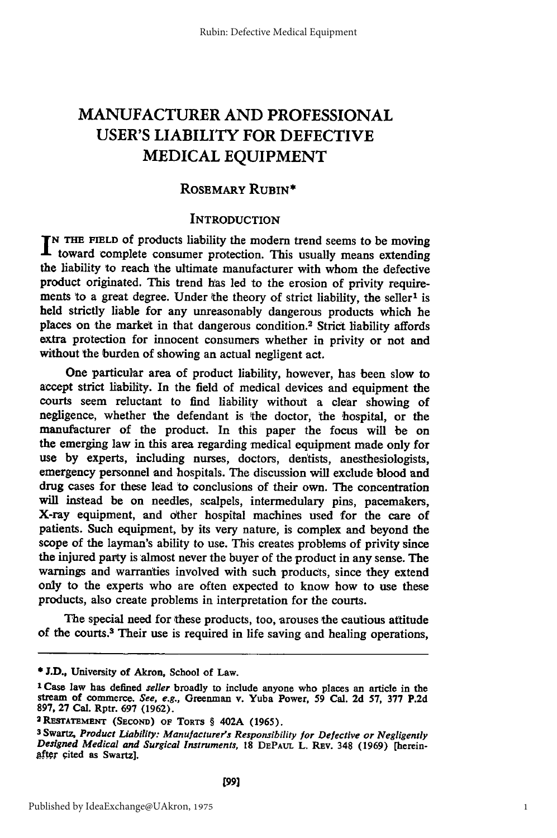# **MANUFACTURER AND PROFESSIONAL USER'S** LIABILITY FOR DEFECTIVE **MEDICAL EQUIPMENT**

# **ROSEMARY RUBIN\***

# **INTRODUCTION**

**N THE FIELD** of products liability the modem trend seems to be moving toward complete consumer protection. This usually means extending the liability to reach the ultimate manufacturer with whom the defective product originated. This trend has led to the erosion of privity requirements to a great degree. Under the theory of strict liability, the seller<sup>1</sup> is held strictly liable for any unreasonably dangerous products which he places on the market in that dangerous condition.<sup>2</sup> Strict liability affords extra protection for innocent consumers whether in privity or not and without the burden of showing an actual negligent act.

One particular area of product liability, however, has been slow to accept strict liability. In the field of medical devices and equipment the courts seem reluctant to find liability without a clear showing of negligence, whether the defendant is the doctor, the hospital, or the manufacturer of the product. In this paper the focus **will** be on the emerging law in this area regarding medical equipment made only for use **by** experts, including nurses, doctors, dentists, anesthesiologists, emergency personnel and hospitals. The discussion will exclude blood and drug cases for these lead to conclusions of their own. The concentration will instead be on needles, scalpels, intermedulary pins, pacemakers, X-ray equipment, and other hospital machines used for the care of patients. Such equipment, **by** its very nature, is complex and beyond the scope of the layman's ability to use. This creates problems of privity since the injured party is almost never the buyer of the product in any sense. The warnings and warranties involved with such products, since they extend only to the experts who are often expected to know how to use these products, also create problems in interpretation for the courts.

The special need for these products, too, arouses the cautious attitude of the courts.3 Their use is required in life saving and healing operations,

**<sup>\*</sup>J.D.,** University of Akron, School of Law.

**<sup>1</sup>** Case law has defined *seller* broadly to include anyone who places an article in the stream of commerce. *See, e.g.,* Greenman v. Yuba Power, **59** Cal. **2d 57, 377 P.2d 897, 27** Cal. Rptr. **697 (1962). 2 RESTATEMENT (SECOND) OF TORTS** § 402A **(1965).**

**<sup>3</sup>**Swartz, *Product Liability: Manufacturer's Responsibility for Defective or Negligently Designed Medical and Surgical Instruments,* **18 DEPAuL L. Rav.** 348 **(1969)** [herein- **.gter** cited as Swartz].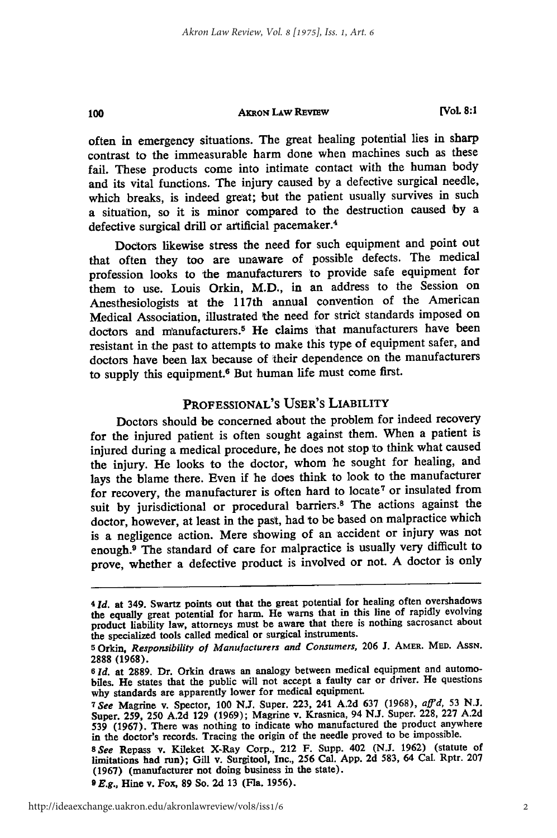100

**[Vol. 8:1**

often in emergency situations. The great healing potential lies in sharp contrast to the immeasurable harm done when machines such as these fail. These products come into intimate contact with the human body and its vital functions. The injury caused **by** a defective surgical needle, which breaks, is indeed great; but the patient usually survives in such a situation, so it is minor compared to the destruction caused **by** a defective surgical drill or artificial pacemaker.<sup>4</sup>

Doctors likewise stress the need for such equipment and point out that often they too are unaware of possible defects. The medical profession looks to the manufacturers to provide safe equipment for them to use. Louis Orkin, M.D., in an address to the Session on Anesthesiologists 'at the 117th annual convention of the American Medical Association, illustrated the need for strict standards imposed on doctors and manufacturers.<sup>5</sup> He claims that manufacturers have been resistant in the past to attempts to make this type of equipment safer, and doctors have been lax because of their dependence on the manufacturers to supply this equipment.<sup>6</sup> But human life must come first.

# **PROFESSIONAL'S** USER'S LIABILITY

Doctors should be concerned about the problem for indeed recovery for the injured patient is often sought against them. When a patient is injured during a medical procedure, he does not stop to think what caused the injury. He looks to the doctor, whom he sought for healing, and lays the blame there. Even if he does think to look to the manufacturer for recovery, the manufacturer is often hard to locate<sup>7</sup> or insulated from suit **by** jurisdictional or procedural barriers.8 The actions against the doctor, however, at least in the past, had to be based on malpractice which is a negligence action. Mere showing of an accident or injury was not enough.9 The standard of care for malpractice is usually very difficult to prove, whether a defective product is involved or not. **A** doctor is only

**<sup>9</sup>***E.g.,* Hine v. Fox, **89** So. **2d 13** (Fla. **1956).**

*<sup>41</sup>d.* at 349. Swartz points out that the great potential for healing often overshadows the equally great potential for harm. He warns that in this line of rapidly evolving product liability law, attorneys must be aware that there is nothing sacrosanct about the specialized tools called medical or surgical instruments.

**<sup>5</sup>** Orkin, *Responsibility of Manufacturers and Consumers,* **206 J. AMER. MED. ASSN. 2888 (1968).**

**<sup>6</sup>** *Id.* at **2889.** Dr. Orkin draws an analogy between medical equipment and automobiles. He states that the public will not accept a faulty car or driver. He questions why standards are apparently lower for medical equipment.

*<sup>7</sup> See* Magrine v. Spector, **100 N.J.** Super. 223, 241 **A.2d 637 (1968),** *aff'd,* **53 N.J.** Super. 259, **250 A.2d 129 (1969);** Magrine v. Krasnica, 94 **N.J.** Super. **228, 227 A.2d 539 (1967).** There was nothing to indicate who manufactured the product anywhere in the doctor's records. Tracing the origin of the needle proved to be impossible.

<sup>8</sup> See Repass v. Kileket X-Ray Corp., 212 F. Supp. 402 (N.J. 1962) (statute of limitations had run); Gill v. Surgitool, Inc., 256 Cal. App. 2d 583, 64 Cal. Rptr. 207 (1967) (manufacturer not doing business in the state).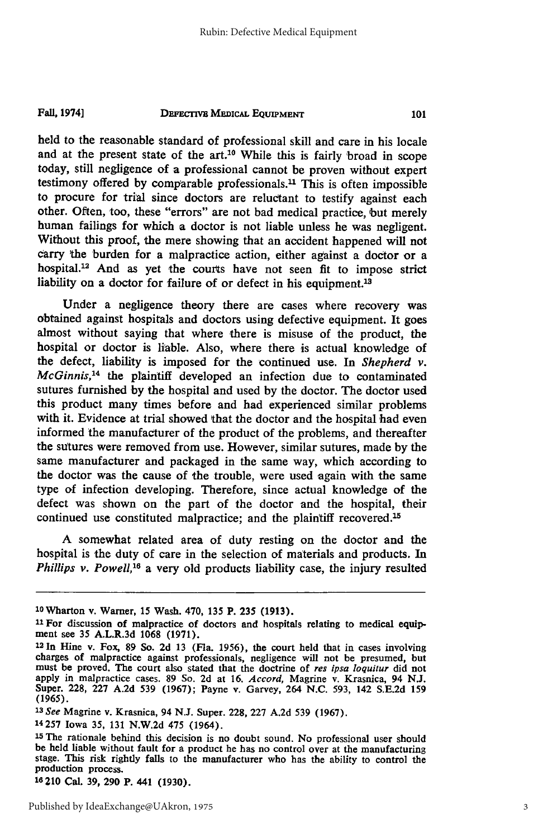#### **DEFECTIVE MEDICAL EQUIPMENT Fal. 1974]**

held to the reasonable standard of professional skill and care in his locale and at the present state of the art.1° While this is fairly broad in scope today, still negligence of a professional cannot be proven without expert testimony offered by comparable professionals.<sup>11</sup> This is often impossible to procure for trial since doctors are reluctant to testify against each other. Often, too, these "errors" are not bad medical practice, but merely human failings for which a doctor is not liable unless he was negligent. Without this proof, the mere showing that an accident happened will not carry the burden for a malpractice action, either against a doctor or a hospital.<sup>12</sup> And as yet the courts have not seen fit to impose strict liability on a doctor for failure of or defect in his equipment.<sup>13</sup>

Under a negligence theory there are cases where recovery was obtained against hospitals and doctors using defective equipment. It goes almost without saying that where there is misuse of the product, the hospital or doctor is liable. Also, where there is actual knowledge of the defect, liability is imposed for the continued use. In *Shepherd v. McGinnis,'4* the plaintiff developed an infection due to contaminated sutures furnished by the hospital and used by the doctor. The doctor used this product many times before and had experienced similar problems with it. Evidence at trial showed that the doctor and the hospital had even informed the manufacturer of the product of the problems, and thereafter the sutures were removed from use. However, similar sutures, made by the same manufacturer and packaged in the same way, which according to the doctor was the cause of the trouble, were used again with the same type of infection developing. Therefore, since actual knowledge **of** the defect was shown on the part of the doctor and the hospital, their continued use constituted malpractice; and the plaintiff recovered.<sup>15</sup>

A somewhat related area of duty resting on the doctor and the hospital is the duty of care in the selection of materials and products. In *Phillips v. Powell,'6* a very old products liability case, the injury resulted

14257 Iowa 35, 131 N.W.2d 475 (1964).

<sup>10</sup>Wharton v. Warner, 15 Wash. 470, 135 P. **235 (1913).**

**<sup>11</sup>** For discussion of malpractice of doctors and hospitals relating to medical equipment see 35 A.L.R.3d 1068 (1971).

<sup>12</sup>In Hine v. Fox, **89** So. 2d 13 (Fla. 1956), the court held that in cases involving charges of malpractice against professionals, negligence will not be presumed, but must be proved. The court also stated that the doctrine of *res ipsa loquitur* did not apply in malpractice cases. 89 So. 2d at 16. *Accord,* Magrine v. Krasnica, 94 N.J. Super. 228, 227 A.2d 539 (1967); Payne v. Garvey, 264 N.C. 593, 142 S.E.2d 159 (1965). *1 <sup>3</sup> See* Magrine v. Krasnica, 94 N.J. Super. 228, 227 A.2d 539 (1967).

<sup>15</sup> The rationale behind this decision is no doubt sound. No professional user should be held liable without fault for a product he has no control over at the manufacturing stage. This risk rightly falls to the manufacturer who has the ability to control the production process.

**<sup>16</sup>** 210 Cal. **39, 290** P. 441 **(1930).**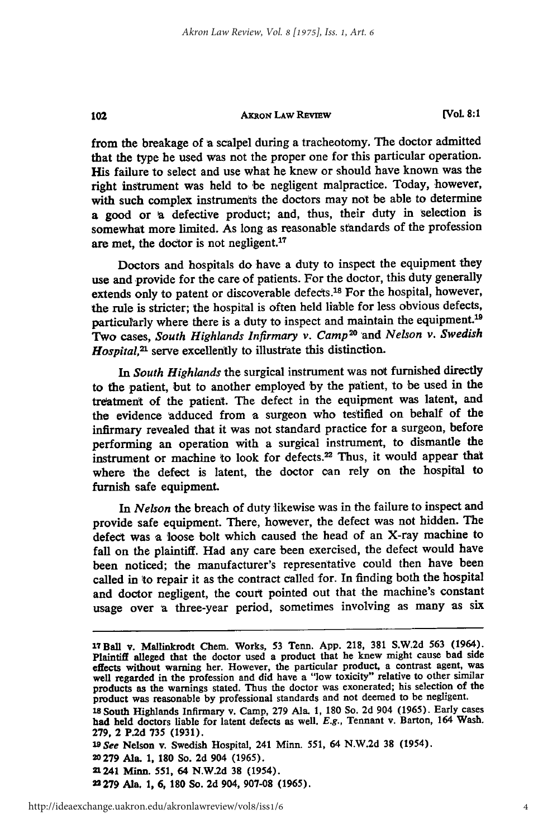102

**[Vol 8:1**

from the breakage of **a** scalpel during a tracheotomy. The doctor admitted that the type he used was not the proper one for this particular operation. His failure to select and use what he knew or should have known was the right instrument was held to be negligent malpractice. Today, however, with such complex instruments the doctors may not be able to determine a good or **A** defective product; and, thus, their duty in selection is somewhat more limited. As long as reasonable standards of the profession are met, the doctor is not negligent.<sup>17</sup>

Doctors and hospitals do have a duty to inspect the equipment they use and provide for the care of patients. For the doctor, this duty generally extends only to patent or discoverable defects.<sup>18</sup> For the hospital, however, the rule is stricter; the hospital is often held liable for less obvious defects, particularly where there is a duty to inspect and maintain the equipment.'<sup>9</sup> Two cases, *South Highlands Infirmary v. Camp<sup>20</sup>*and *Nelson v. Swedish Hospital*,<sup>21</sup> serve excellently to illustrate this distinction.

*In South Highlands* the surgical instrument was not furnished directly to the patient, but to another employed **'by** the patient, to be used in the treatment of the patient. The defect in the equipment was latent, and the evidence adduced from a surgeon who testified on behalf of the infirmary revealed that it was not standard practice for a surgeon, before performing an operation with a surgical instrument, to dismantle the instrument or machine to look for defects.<sup>22</sup> Thus, it would appear that where the defect is latent, the doctor can rely on the hospital to furnish safe equipment.

In *Nelson* the breach of duty likewise was in the failure to inspect and provide safe equipment. There, however, the defect was not hidden. The defect was a loose bolt which caused the head of an X-ray machine to fall on the plaintiff. Had any care been exercised, the defect would have been noticed; the manufacturer's representative could then have been called in to repair it as the contract called for. In finding both the hospital and doctor negligent, the court pointed out that the machine's constant usage over a three-year period, sometimes involving as many as six

<sup>17</sup>Ball v. Mallinkrodt Chem. Works, **53** Tenn. **App. 218, 381 S.W.2d 563** (1964). Plaintiff alleged that the doctor used a product that he knew might cause bad side effects without warning her. However, the particular product, a contrast agent, was well regarded in the profession and did have a "low toxicity" relative to other similar products as the warnings stated. Thus the doctor was exonerated; his selection of the product was reasonable **by** professional standards and not deemed to be negligent.

**<sup>1</sup>a** South Highlands Infirmary v. Camp, **279** Ala. **1, 180** So. **2d** 904 **(1965).** Early cases had held doctors liable for latent defects as well. *E.g.,* Tennant v. Barton, 164 Wash. **279,** 2 **P.2d 735 (1931).**

*IDSee* Nelson v. Swedish Hospital, 241 Minn. **551,** 64 **N.W.2d 38** (1954).

**<sup>20279</sup>** Ala. **1, 180** So. **2d** 904 **(1965).**

<sup>21241</sup> Minn. **551,** 64 **N.W.2d 38** (1954).

**<sup>22279</sup>** Ala. **1, 6, 180** So. **2d** 904, **907-08 (1965).**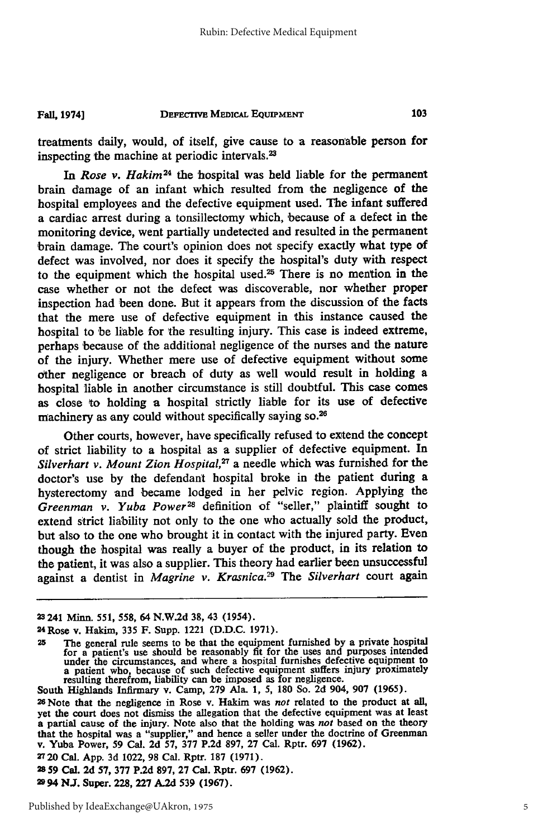#### **DEFECTIVE MEDICAL EQUIPMENT Fall, 1974]**

treatments daily, would, of itself, give cause to a reasonable person for inspecting the machine at periodic intervals.<sup>23</sup>

*In Rose v. Hakim24* the hospital was held liable for the permanent brain damage of an infant which resulted from the negligence of the hospital employees and the defective equipment used. The infant suffered a cardiac arrest during a tonsillectomy which, because of a defect in the monitoring device, went partially undetected and resulted in the permanent brain damage. The court's opinion does not specify exactly what type of defect was involved, nor does it specify the hospital's duty with respect to the equipment which the hospital used.25 There is no mention in the case whether or not the defect was discoverable, nor whether proper inspection had been done. But it appears from the discussion of the facts that the mere use of defective equipment in this instance caused the hospital to be liable for the resulting injury. This case is indeed extreme, perhaps because of the additional negligence of the nurses and the nature of the injury. Whether mere use of defective equipment without some other negligence or breach of duty as well would result in holding a hospital liable in another circumstance is still doubtful. This case comes as close to holding a hospital strictly liable for its use of defective machinery as any could without specifically saying **so. <sup>26</sup>**

Other courts, however, have specifically refused to extend the concept of strict liability to a hospital as a supplier of defective equipment. In *Silverhart v. Mount Zion Hospital,27* a needle which was furnished for the doctor's use **by** the defendant hospital broke in the patient during a hysterectomy and became lodged in her pelvic region. Applying the *Greenman v. Yuba Power28* definition of "seller," plaintiff sought to extend strict liability not only to the one who actually sold the product, but also to the one who brought it in contact with the injured party. Even though the hospital was really a buyer **of** the product, in its relation to the patient, it was also a supplier. This theory had earlier been unsuccessful against a dentist in *Magrine v. Krasnica.<sup>29</sup>* The Silverhart court again

**<sup>23</sup>** 241 Minn. **551, 558,** 64 **N.W.2d 38,** 43 (1954).

<sup>2 4</sup>Rose v. Hakim, **335** F. Supp. 1221 **(D.D.C. 1971).**

**<sup>25</sup>**The general rule seems to be that the equipment furnished **by** a private hospital for a patient's use should be reasonably fit for the uses and purposes intended<br>under the circumstances, and where a hospital furnishes defective equipment to<br>a patient who, because of such defective equipment suffers inju

South Highlands Infirmary v. Camp, **279** Ala. **1, 5, 180** So. **2d** 904, **907 (1965).**

**<sup>26</sup>**Note that the negligence in Rose v. Hakim was *not* related to the product at all, yet the court does not dismiss the allegation that the defective equipment was at least a partial cause of the injury. Note also that the holding was not based on the theory that the hospital was a "supplier," and hence a seller under the doctrine of Greenman v. Yuba Power, **59** Cal. **2d 57, 377 P.2d 897, 27** Cal. Rptr. **697 (1962).**

<sup>2720</sup> Cal. **App. 3d** 1022, **98** Cal. Rptr. **187 (1971).**

**<sup>2859</sup> Cal. 2d 57, 377 P.2d 897, 27** Cal. Rptr. **697 (1962).**

**<sup>2994</sup> NJ.** Super. **228, 227 A.2d 539 (1967).**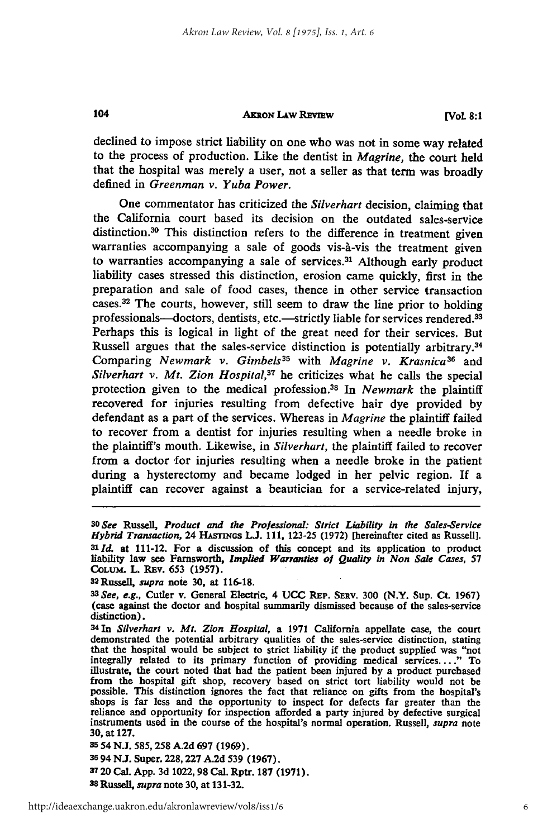**[Vol. 8:1**

declined to impose strict liability on one who was not in some way related to the process of production. Like the dentist in *Magrine,* the court held that the hospital was merely a user, not a seller as that term was broadly defined in *Greenman v. Yuba Power.*

One commentator has criticized the *Silverhart* decision, claiming that the California court based its decision on the outdated sales-service distinction.30 This distinction refers to the difference in treatment given warranties accompanying a sale of goods vis-à-vis the treatment given to warranties accompanying a sale of services.<sup>31</sup> Although early product liability cases stressed this distinction, erosion came quickly, first in the preparation and sale of food cases, thence in other service transaction cases.<sup>32</sup> The courts, however, still seem to draw the line prior to holding professionals-doctors, dentists, etc.-strictly liable for services rendered.<sup>33</sup> Perhaps this is logical in light of the great need for their services. But Russell argues that the sales-service distinction is potentially arbitrary.<sup>34</sup> Comparing *Newmark v. Gimbels35* with *Magrine v. Krasnica3 6* and *Silverhart v. Mt. Zion Hospital*,<sup>37</sup> he criticizes what he calls the special protection given to the medical profession.38 **In** *Newmark* the plaintiff recovered for injuries resulting from defective hair dye provided **by** defendant as a part of the services. Whereas in *Magrine* the plaintiff failed to recover from a dentist for injuries resulting when a needle broke in the plaintiff's mouth. Likewise, in *Silverhart,* the plaintiff failed to recover from a doctor for injuries resulting when a needle broke in the patient during a hysterectomy and became lodged in her pelvic region. **If** a plaintiff can recover against a beautician for a service-related injury,

104

*<sup>3</sup> OSee Russell, Product* **and the Professional: Strict Liability in** *the Sales-Service* Hybrid Transaction, 24 HASTINGS L.J. 111, 123-25 (1972) [hereinafter cited as Russell]. *Slid.* at 111-12. For a discussion of this concept and its application to product liability law see Farnsworth, *Implied Warranlies of Quality in Non Sale Cases,* **57 COLUM.** L. REv. *653* **(1957).**

S2Russell, *supra* note **30,** at **116-18.**

*<sup>3</sup> See, e.g.,* Cutler v. General Electric, 4 **UCC** REp. SEav. **300** (N.Y. Sup. Ct. **1967)** (case against the doctor and hospital summarily dismissed because of the sales-service distinction).

<sup>34</sup>In *Silverhart v. Mt. Zion Hospital,* a **1971** California appellate case, the court demonstrated the potential arbitrary qualities of the sales-service distinction, stating that the hospital would be subject to strict liability if the product supplied was "not integrally related to its primary function of providing medical services...." To illustrate, the court noted that had the patient been injured **by** a product purchased from the hospital gift shop, recovery based on strict tort liability would not be possible. This distinction ignores the fact that reliance on gifts from the hospital's shops is far less and the opportunity to inspect for defects far greater than the shops is far less and the opportunity to inspect for defects far greater than the reliance and opportunity for inspection afforded a party injured by defective surgical instruments used in the course of the hospital's norm **30,** at **127.**

**<sup>35</sup>** 54 **N.J. 585, 258 A.2d 697 (1969).**

**<sup>36</sup>**94 **NJ.** Super. **228,227 A.2d 539 (1967).**

**<sup>3720</sup>**Cal. **App. 3d 1022,98** Cal. Rptr. **187 (1971).** *<sup>3</sup>*

*s8 Russell, supra* note **30,** at **131-32.**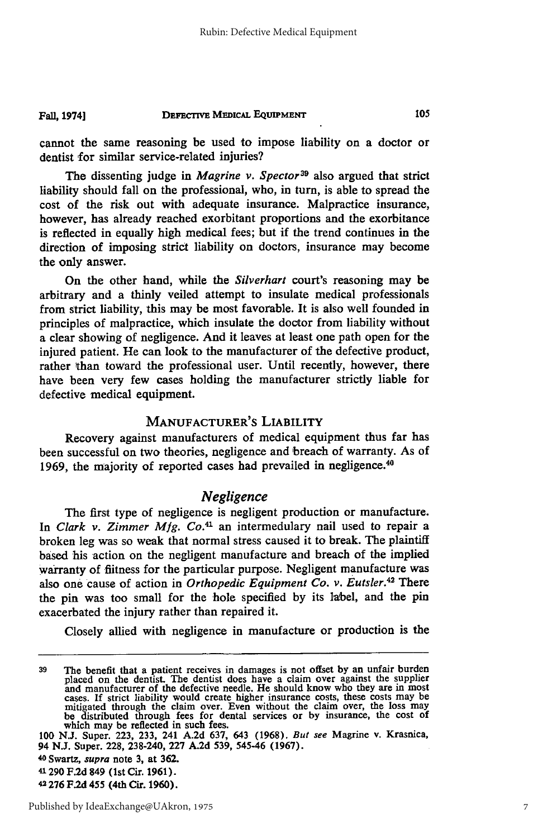#### **DEFECrIvE MEDICAL EQuipMENT Fall, 1974]**

cannot the same reasoning be used to impose liability on a doctor or dentist for similar service-related injuries?

The dissenting judge in *Magrine v. Spector*<sup>39</sup> also argued that strict liability should fall on the professional, who, in turn, is able to spread the cost of the risk out with adequate insurance. Malpractice insurance, however, has already reached exorbitant proportions and the exorbitance is reflected in equally high medical fees; but if the trend continues in the direction of imposing strict liability on doctors, insurance may become the only answer.

On the other hand, while the *Silverhart* court's reasoning may be arbitrary and a thinly veiled attempt to insulate medical professionals from strict liability, this may be most favorable. It is also well founded in principles of malpractice, which insulate the doctor from liability without a clear showing of negligence. And it leaves at least one path open for the injured patient. He can look to the manufacturer of the defective product, rather than toward the professional user. Until recently, however, there have been very few cases holding the manufacturer strictly liable for defective medical equipment.

# MANUFACTURER'S LIABILITY

Recovery against manufacturers of medical equipment thus far has been successful on two theories, negligence and 'breach of warranty. As of **1969,** the majority of reported cases had prevailed in negligence. <sup>40</sup>

# *Negligence*

The first type of negligence is negligent production or manufacture. In *Clark v. Zimmer Mfg. Co.*<sup>41</sup> an intermedulary nail used to repair a broken leg was so weak that normal stress caused it to break. The plaintiff based his action on the negligent manufacture and breach of the implied warranty of fiitness for the particular purpose. Negligent manufacture was also one cause of action in *Orthopedic Equipment Co. v. Eutsler.4* **There** the pin was too small for the hole specified **by** its label, and the pin exacerbated the injury rather than repaired it.

Closely allied with negligence in manufacture or production is the

39 The benefit that a patient receives in damages is not offset by an unfair burder placed on the dentist. The dentist does have a claim over against the supplies and manufacturer of the defective needle. He should know wh maxes. If strict liability would create higher insurance costs, these costs may be mitigated through the claim over. Even without the claim over, the loss may be distributed through fees for dental services or by insurance which may be reflected in such fees.

**<sup>100</sup> N.J.** Super. **223, 233,** 241 **A.2d 637,** 643 **(1968).** But see Magrine v. Krasnica, 94 **N.J.** Super. **228,** 238-240, **227 A.2d 539,** 545-46 **(1967).**

**<sup>40</sup>**Swartz, *supra* note **3,** at **362.**

**<sup>41 290</sup> F.2d** 849 (1st Cir. **1961).**

**<sup>42276</sup> F.2d** 455 (4th Cir. **1960).**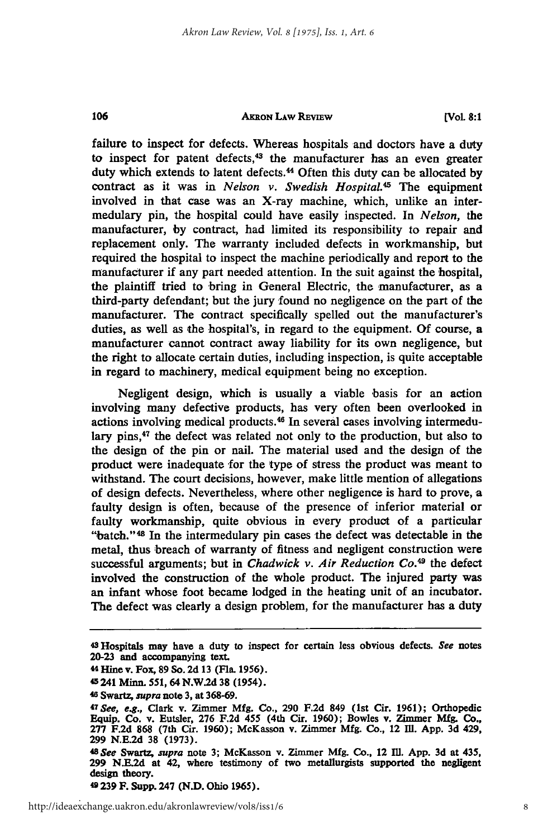**(VoL 8:1**

failure to inspect for defects. Whereas hospitals and doctors have a duty to inspect for patent defects, $43$  the manufacturer has an even greater duty which extends to latent defects. 44 Often this duty can be allocated **by** contract as it was in *Nelson v. Swedish Hospital.45* The equipment involved in that case was an X-ray machine, which, unlike an intermedulary pin, the hospital could have easily inspected. In *Nelson, the* manufacturer, **by** contract, had limited its responsibility to repair and replacement only. The warranty included defects in workmanship, but required the hospital to inspect the machine periodically and report to the manufacturer if any part needed attention. In the suit against the hospital, the plaintiff tried to bring in General Electric, the manufacturer, as a third-party defendant; but the jury found no negligence on the part of the manufacturer. The contract specifically spelled out the manufacturer's duties, as well as the hospital's, in regard to the equipment. **Of** course, a manufacturer cannot contract away liability for its own negligence, but the right to allocate certain duties, including inspection, is quite acceptable in regard to machinery, medical equipment being no exception.

Negligent design, which is usually a viable basis for an action involving many defective products, has very often been overlooked in actions involving medical products.<sup>46</sup> In several cases involving intermedulary pins,<sup>47</sup> the defect was related not only to the production, but also to the design of the pin or nail. The material used and the design of the product were inadequate for the type of stress the product was meant to withstand. The court decisions, however, make little mention of allegations of design defects. Nevertheless, where other negligence is hard to prove, a faulty design is often, because of the presence of inferior material or faulty workmanship, quite obvious in every product of a particular "batch."<sup>48</sup> In the intermedulary pin cases the defect was detectable in the metal, thus breach of warranty of fitness and negligent construction were successful arguments; but in *Chadwick v. Air Reduction Co.*<sup>49</sup> the defect involved the construction of the whole product. The injured party was an infant whose foot became lodged in the heating unit of an incubator. The defect was clearly a design problem, for the manufacturer has a duty

106

**49239 F. Supp. 247 (N.D. Ohio 1965).**

<sup>43</sup>Hospitals may have a duty **to inspect for certain less obvious defects.** *See* notes **20-23** and accompanying text.

**<sup>44</sup>Hine v. Fox, 89 So. 2d 13 (Fla. 1956).**

**<sup>4&#</sup>x27; 241 Minn. 551, 64 N.W.2d 38 (1954).**

<sup>46</sup>**Swart,** *supra* **note 3, at 368-69.**

*<sup>47</sup> See, e.g.,* **Clark v. Zimmer Mfg. Co., 290 F.2d 849 (1st Cir. 1961); Orthopedic Equip. Co. v. Eutsler, 276 F.2d 455 (4th Cir. 1960); Bowles v. Zimmer Mfg. Co., 277 F.2d 868 (7th Cir. 1960);** McKasson **v. Zimmer Mfg. Co., 12 111. App. 3d 429, 299 N.E.2d 38 (1973).**

**<sup>48</sup>***See Swartr, supra* **note 3; McKasson v. Zimmer Mfg. Co., 12 Ill. App. 3d at 435, 299 N.E.2d at 42, where testimony of two metallurgists supported the negligent design theory.**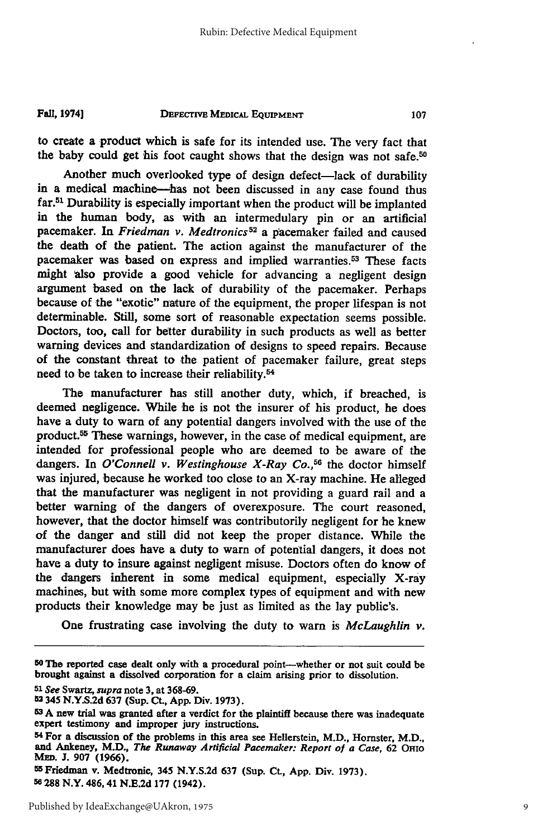#### DEFECTIVE MEDICAL **EQUIPMENT** Fall, **19741**

to create a product which is safe for its intended use. The very fact that the baby could get his foot caught shows that the design was not safe.<sup>50</sup>

Another much overlooked type of design defect-lack of durability in a medical machine--has not been discussed in any case found thus far.51 Durability is especially important when the product will be implanted in the human body, as with an intermedulary pin or an artificial pacemaker. In *Friedman v. Medtronics <sup>2</sup>*a pacemaker failed and caused the death of the patient. The action against the manufacturer of the pacemaker was based on express and implied warranties.<sup>53</sup> These facts might also provide a good vehicle for advancing a negligent design argument based on the lack of durability of the pacemaker. Perhaps because of the "exotic" nature of the equipment, the proper lifespan is not determinable. Still, some sort of reasonable expectation seems possible. Doctors, too, call for better durability in such products as well as better warning devices and standardization of designs to speed repairs. Because of the constant threat to the patient of pacemaker failure, great steps need to be taken to increase their reliability.54

The manufacturer has still another duty, which, if breached, is deemed negligence. While he is not the insurer of his product, he does have a duty to **warn** of any potential dangers involved with the use of the product.<sup>55</sup> These warnings, however, in the case of medical equipment, are intended for professional people who are deemed to be aware of the dangers. In *O'Connell v. Westinghouse X-Ray Co.*,<sup>56</sup> the doctor himself was injured, because he worked too close to an X-ray machine. He alleged that the manufacturer was negligent in not providing a guard rail and a better warning of the dangers of overexposure. The court reasoned, however, that the doctor himself was contributorily negligent for he knew of the danger and still did not keep the proper distance. While the manufacturer does have a duty to warn of potential dangers, it does not have a duty to insure against negligent misuse. Doctors often do know of the dangers inherent in some medical equipment, especially X-ray machines, but with some more complex types of equipment and with new products their knowledge may be just as limited as the lay public's.

One frustrating case involving the duty to **warn** is *McLaughlin v.*

*51 See* **Swartz,** *supra* note **3,** at **368-69.**

**<sup>5 0</sup> The reported case dealt only with a procedural** point-whether or not suit could be brought against a dissolved corporation for a claim arising prior to dissolution.

<sup>52345</sup> **N.Y.S.2d 637** (Sup. Ct., **App.** Div. **1973).**

**<sup>53</sup>A** new trial was granted after a verdict for the plaintiff because there was inadequate expert testimony and improper jury instructions.

**<sup>54</sup> For** a discussion of the problems in this area see Hellerstein, M.D., Hornster, M.D., **and Ankeney, M.D.,** *The Runaway Artificial Pacemaker: Report of a Case,* **62** OHIO **MED. J. 907 (1966).** <sup>55</sup> Friedman v. Medtronic, 345 **N.Y.S.2d 637** (Sup. **Ct, App.** Div. **1973).**

**<sup>56 288</sup>** N.Y. 486, 41 **N.E.2d 177** (1942).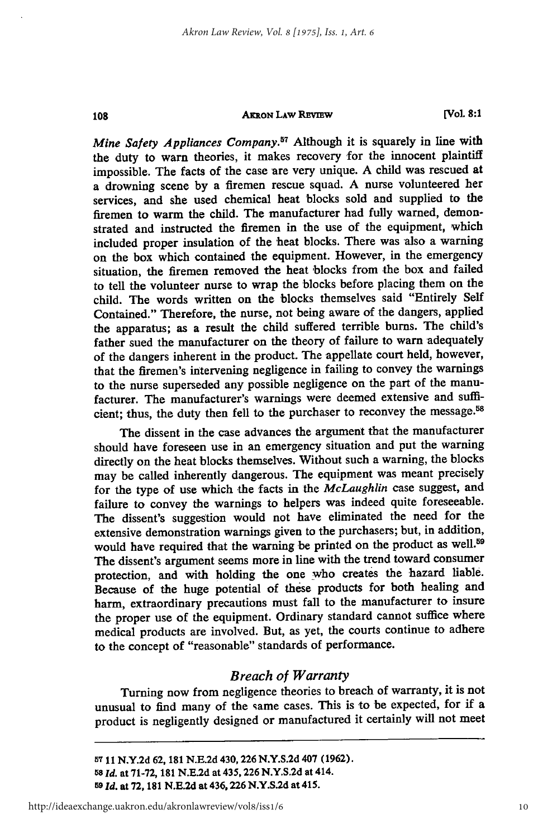108

**[Vol 8:1**

*Mine Safety Appliances Company.57* Although it is squarely in line with the duty to **warn** theories, it makes recovery for the innocent plaintiff impossible. The facts of the case are very unique. **A** child was rescued at a drowning scene **by** a firemen rescue squad. **A** nurse volunteered her services, and she used chemical heat blocks sold and supplied to the firemen to warm the child. The manufacturer had fully warned, demonstrated and instructed the firemen in the use of the equipment, which included proper insulation of the heat blocks. There was also a warning on the box which contained the equipment. However, in the emergency situation, the firemen removed the heat blocks from the box and failed to tell the volunteer nurse to wrap the blocks before placing them on the child. The words written on the blocks themselves said "Entirely Self Contained." Therefore, the nurse, not being aware of the dangers, applied the apparatus; as a result the child suffered terrible burns. The child's father sued the manufacturer on the theory of failure to warn adequately of the dangers inherent in the product. The appellate court held, however, that the firemen's intervening negligence in failing to convey the warnings to the nurse superseded any possible negligence on the part of the manufacturer. The manufacturer's warnings were deemed extensive and sufficient; thus, the duty then fell to the purchaser to reconvey the message.<sup>58</sup>

The dissent in the case advances the argument that the manufacturer should have foreseen use in an emergency situation and put the warning directly on the heat blocks themselves. Without such a warning, the blocks may be called inherently dangerous. The equipment was meant precisely for the type of use which the facts in the *McLaughlin* case suggest, and failure to convey the warnings to helpers was indeed quite foreseeable. The dissent's suggestion would not have eliminated the need for the extensive demonstration warnings given to the purchasers; but, in addition, would have required that the warning be printed on the product as well.<sup>59</sup> The dissent's argument seems more in line with the trend toward consumer protection, and with holding the one who creates the hazard liable. Because of the huge potential of these products for both healing and harm, extraordinary precautions must fall to the manufacturer to insure the proper use of the equipment. Ordinary standard cannot suffice where medical products are involved. But, as yet, the courts continue to adhere to the concept of "reasonable" standards of performance.

# *Breach of Warranty*

Turning now from negligence theories to breach of warranty, it is not unusual to find many of the same cases. This is to be expected, for if a product is negligently designed or manufactured it certainly will not meet

**57 11 N.Y.2d 62, 181 N.E.2d** 430,226 **N.Y.S.2d** 407 **(1962). <sup>58</sup>***Id.* at **71-72, 181 N.E.2d** at **435,226 N.Y.S.2d** at 414. *59 ld.* at *72,* **181 N.E.2d** at **436,226 N.Y.S.2d** at 415.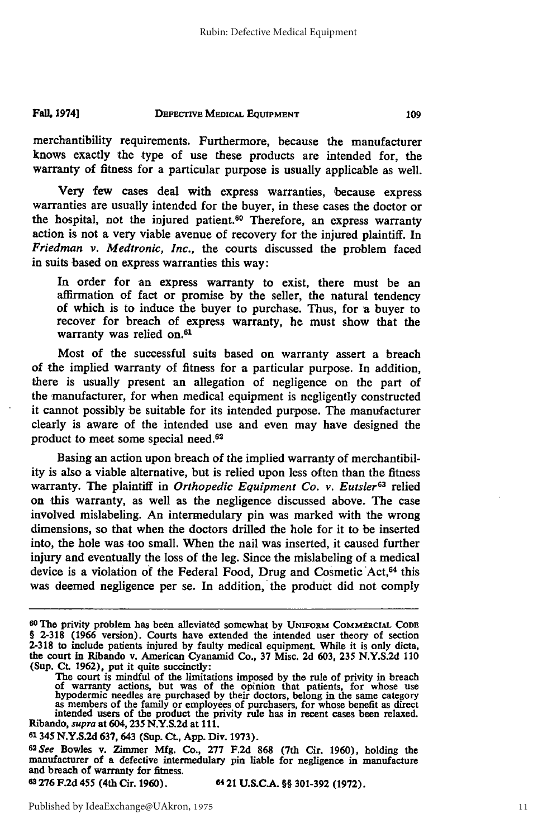#### **DEFECTIVE MEDICAL EQUIPMENT Fall, 19741**

merchantibility requirements. Furthermore, because the manufacturer knows exactly the type of use these products are intended for, the warranty of fitness for a particular purpose is usually applicable as well.

Very few cases deal with express warranties, because express warranties are usually intended for the buyer, in these cases the doctor or the hospital, not the injured patient.<sup>60</sup> Therefore, an express warranty action is not a very viable avenue of recovery for the injured plaintiff. In *Friedman v. Medtronic, Inc.,* the courts discussed the problem faced in suits based on express warranties this way:

In order for an express warranty to exist, there must be an affirmation of fact or promise by the seller, the natural tendency of which is to induce the buyer to purchase. Thus, for a buyer to recover for breach of express warranty, he must show that the warranty was relied on.<sup>61</sup>

Most of the successful suits based on warranty assert a breach of the implied warranty of fitness for a particular purpose. In addition, there is usually present an allegation of negligence on the part of the manufacturer, for when medical equipment is negligently constructed it cannot possibly be suitable for its intended purpose. The manufacturer clearly is aware of the intended use and even may have designed the product to meet some special need.<sup>62</sup>

Basing an action upon breach of the implied warranty of merchantibility is also a viable alternative, but is relied upon less often than the fitness warranty. The plaintiff in *Orthopedic Equipment Co. v. Eutsler63* relied on this warranty, as well as the negligence discussed above. The case involved mislabeling. An intermedulary pin was marked with the wrong dimensions, so that when the doctors drilled the hole for it to be inserted into, the hole was too small. When the nail was inserted, it caused further injury and eventually the loss of the leg. Since the mislabeling of a medical device is a violation of the Federal Food, Drug and Cosmetic Act, 64 this was deemed negligence per se. In addition, the product did not comply

**61345 N.Y.S.2d 637,** 643 (Sup. Ct., **App.** Div. **1973).**

**62ee** Bowles v. Zimmer **Mfg.** Co., **277** F.2d **868** (7th Cir. 1960), holding the manufacturer of a defective intermedulary pin liable for negligence in manufacture and breach of warranty for fitness.

**63276 F.2d** 455 (4th Cir. **1960).** 64 21 **U.S.C.A.** §§ **301-392 (1972).**

109

**<sup>60</sup>**The privity problem has been alleviated somewhat **by UNIFORM** COMMERCIAL **CODE** § **2-318 (1966** version). Courts have extended the intended user theory of section **2-318** to include patients injured **by** faulty medical equipment. While it is only dicta, the court in Ribando v. American Cyanamid Co., **37** Misc. **2d** 603, **235 N.Y.S.2d** 110 (Sup. **Ct.** 1962), put it quite succinctly:

The court is mindful of the limitations imposed by the rule of privity in breach<br>of warranty actions, but was of the opinion that patients, for whose use<br>hypodermic needles are purchased by their doctors, belong in the sam Ribando, *supra* at 604, **235 N.Y.S.2d** at 111.